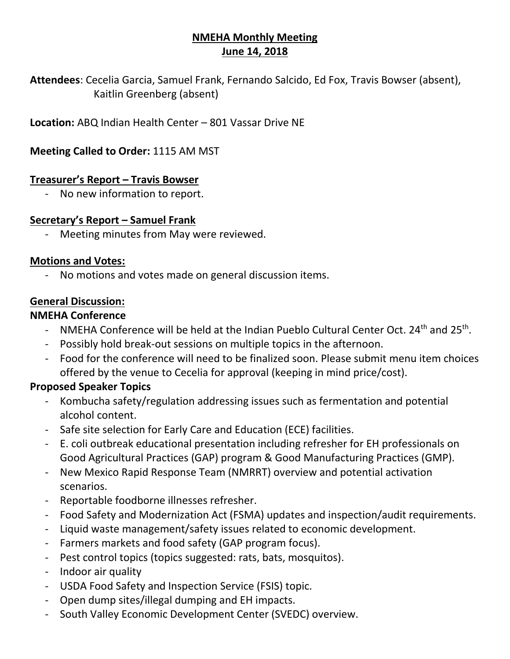# **NMEHA Monthly Meeting June 14, 2018**

**Attendees**: Cecelia Garcia, Samuel Frank, Fernando Salcido, Ed Fox, Travis Bowser (absent), Kaitlin Greenberg (absent)

**Location:** ABQ Indian Health Center – 801 Vassar Drive NE

**Meeting Called to Order:** 1115 AM MST

## **Treasurer's Report – Travis Bowser**

- No new information to report.

## **Secretary's Report – Samuel Frank**

- Meeting minutes from May were reviewed.

## **Motions and Votes:**

No motions and votes made on general discussion items.

# **General Discussion:**

## **NMEHA Conference**

- NMEHA Conference will be held at the Indian Pueblo Cultural Center Oct. 24<sup>th</sup> and 25<sup>th</sup>.
- Possibly hold break-out sessions on multiple topics in the afternoon.
- Food for the conference will need to be finalized soon. Please submit menu item choices offered by the venue to Cecelia for approval (keeping in mind price/cost).

# **Proposed Speaker Topics**

- Kombucha safety/regulation addressing issues such as fermentation and potential alcohol content.
- Safe site selection for Early Care and Education (ECE) facilities.
- E. coli outbreak educational presentation including refresher for EH professionals on Good Agricultural Practices (GAP) program & Good Manufacturing Practices (GMP).
- New Mexico Rapid Response Team (NMRRT) overview and potential activation scenarios.
- Reportable foodborne illnesses refresher.
- Food Safety and Modernization Act (FSMA) updates and inspection/audit requirements.
- Liquid waste management/safety issues related to economic development.
- Farmers markets and food safety (GAP program focus).
- Pest control topics (topics suggested: rats, bats, mosquitos).
- Indoor air quality
- USDA Food Safety and Inspection Service (FSIS) topic.
- Open dump sites/illegal dumping and EH impacts.
- South Valley Economic Development Center (SVEDC) overview.